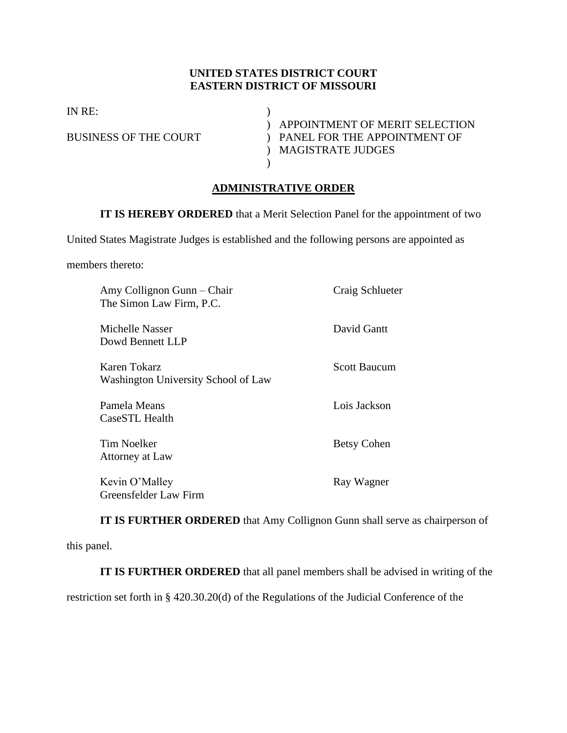## **UNITED STATES DISTRICT COURT EASTERN DISTRICT OF MISSOURI**

IN RE: )

) APPOINTMENT OF MERIT SELECTION BUSINESS OF THE COURT ) PANEL FOR THE APPOINTMENT OF ) MAGISTRATE JUDGES

## **ADMINISTRATIVE ORDER**

**IT IS HEREBY ORDERED** that a Merit Selection Panel for the appointment of two

United States Magistrate Judges is established and the following persons are appointed as

 $\lambda$ 

members thereto:

| Amy Collignon Gunn – Chair<br>The Simon Law Firm, P.C. | Craig Schlueter     |
|--------------------------------------------------------|---------------------|
| Michelle Nasser<br>Dowd Bennett LLP                    | David Gantt         |
| Karen Tokarz<br>Washington University School of Law    | <b>Scott Baucum</b> |
| Pamela Means<br>CaseSTL Health                         | Lois Jackson        |
| Tim Noelker<br>Attorney at Law                         | <b>Betsy Cohen</b>  |
| Kevin O'Malley<br>Greensfelder Law Firm                | Ray Wagner          |

**IT IS FURTHER ORDERED** that Amy Collignon Gunn shall serve as chairperson of this panel.

**IT IS FURTHER ORDERED** that all panel members shall be advised in writing of the

restriction set forth in § 420.30.20(d) of the Regulations of the Judicial Conference of the